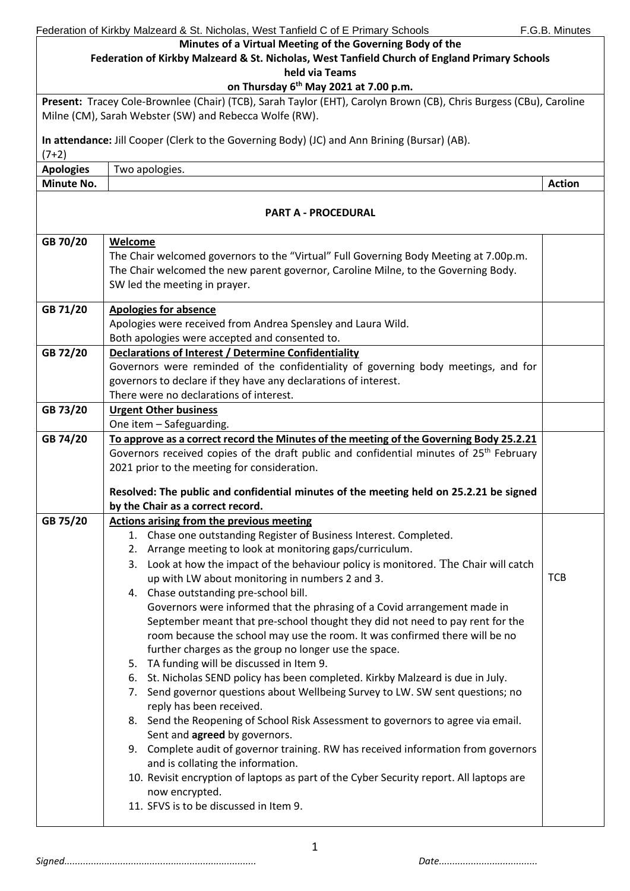|                  | Federation of Kirkby Malzeard & St. Nicholas, West Tanfield C of E Primary Schools                                 | F.G.B. Minutes |  |
|------------------|--------------------------------------------------------------------------------------------------------------------|----------------|--|
|                  | Minutes of a Virtual Meeting of the Governing Body of the                                                          |                |  |
|                  | Federation of Kirkby Malzeard & St. Nicholas, West Tanfield Church of England Primary Schools                      |                |  |
|                  | held via Teams                                                                                                     |                |  |
|                  | on Thursday 6 <sup>th</sup> May 2021 at 7.00 p.m.                                                                  |                |  |
|                  | Present: Tracey Cole-Brownlee (Chair) (TCB), Sarah Taylor (EHT), Carolyn Brown (CB), Chris Burgess (CBu), Caroline |                |  |
|                  | Milne (CM), Sarah Webster (SW) and Rebecca Wolfe (RW).                                                             |                |  |
|                  |                                                                                                                    |                |  |
|                  | In attendance: Jill Cooper (Clerk to the Governing Body) (JC) and Ann Brining (Bursar) (AB).                       |                |  |
| $(7+2)$          |                                                                                                                    |                |  |
| <b>Apologies</b> | Two apologies.                                                                                                     |                |  |
| Minute No.       |                                                                                                                    | <b>Action</b>  |  |
|                  |                                                                                                                    |                |  |
|                  | <b>PART A - PROCEDURAL</b>                                                                                         |                |  |
|                  |                                                                                                                    |                |  |
| GB 70/20         | <b>Welcome</b>                                                                                                     |                |  |
|                  | The Chair welcomed governors to the "Virtual" Full Governing Body Meeting at 7.00p.m.                              |                |  |
|                  | The Chair welcomed the new parent governor, Caroline Milne, to the Governing Body.                                 |                |  |
|                  | SW led the meeting in prayer.                                                                                      |                |  |
| GB 71/20         | <b>Apologies for absence</b>                                                                                       |                |  |
|                  | Apologies were received from Andrea Spensley and Laura Wild.                                                       |                |  |
|                  | Both apologies were accepted and consented to.                                                                     |                |  |
| GB 72/20         | Declarations of Interest / Determine Confidentiality                                                               |                |  |
|                  | Governors were reminded of the confidentiality of governing body meetings, and for                                 |                |  |
|                  | governors to declare if they have any declarations of interest.                                                    |                |  |
|                  | There were no declarations of interest.                                                                            |                |  |
| GB 73/20         | <b>Urgent Other business</b>                                                                                       |                |  |
|                  | One item - Safeguarding.                                                                                           |                |  |
| GB 74/20         | To approve as a correct record the Minutes of the meeting of the Governing Body 25.2.21                            |                |  |
|                  | Governors received copies of the draft public and confidential minutes of 25 <sup>th</sup> February                |                |  |
|                  | 2021 prior to the meeting for consideration.                                                                       |                |  |
|                  |                                                                                                                    |                |  |
|                  | Resolved: The public and confidential minutes of the meeting held on 25.2.21 be signed                             |                |  |
|                  | by the Chair as a correct record.                                                                                  |                |  |
| GB 75/20         | <b>Actions arising from the previous meeting</b>                                                                   |                |  |
|                  | 1. Chase one outstanding Register of Business Interest. Completed.                                                 |                |  |
|                  | Arrange meeting to look at monitoring gaps/curriculum.<br>2.                                                       |                |  |
|                  | 3. Look at how the impact of the behaviour policy is monitored. The Chair will catch                               |                |  |
|                  | up with LW about monitoring in numbers 2 and 3.                                                                    | <b>TCB</b>     |  |
|                  | 4. Chase outstanding pre-school bill.                                                                              |                |  |
|                  | Governors were informed that the phrasing of a Covid arrangement made in                                           |                |  |
|                  | September meant that pre-school thought they did not need to pay rent for the                                      |                |  |
|                  | room because the school may use the room. It was confirmed there will be no                                        |                |  |
|                  | further charges as the group no longer use the space.                                                              |                |  |
|                  | 5. TA funding will be discussed in Item 9.                                                                         |                |  |
|                  | 6. St. Nicholas SEND policy has been completed. Kirkby Malzeard is due in July.                                    |                |  |
|                  | 7. Send governor questions about Wellbeing Survey to LW. SW sent questions; no                                     |                |  |
|                  | reply has been received.                                                                                           |                |  |
|                  | 8. Send the Reopening of School Risk Assessment to governors to agree via email.                                   |                |  |
|                  | Sent and agreed by governors.                                                                                      |                |  |
|                  | 9. Complete audit of governor training. RW has received information from governors                                 |                |  |
|                  | and is collating the information.                                                                                  |                |  |
|                  | 10. Revisit encryption of laptops as part of the Cyber Security report. All laptops are                            |                |  |
|                  | now encrypted.                                                                                                     |                |  |
|                  | 11. SFVS is to be discussed in Item 9.                                                                             |                |  |
|                  |                                                                                                                    |                |  |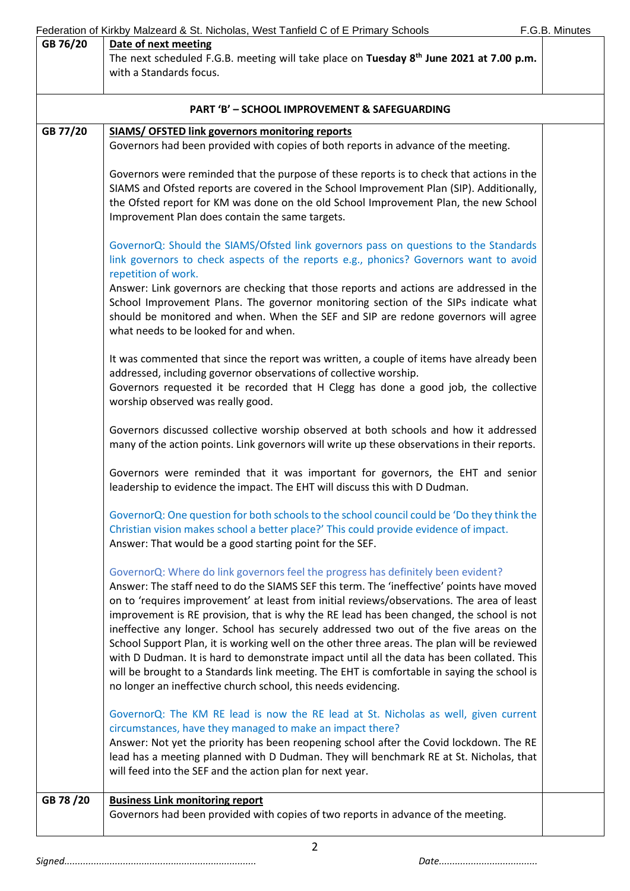|                                                         | Federation of Kirkby Malzeard & St. Nicholas, West Tanfield C of E Primary Schools                                                                                                                                                                                                                                                                                                                                                                                                                                                                                                                                                                                                                                                                                                                                               | F.G.B. Minutes |  |
|---------------------------------------------------------|----------------------------------------------------------------------------------------------------------------------------------------------------------------------------------------------------------------------------------------------------------------------------------------------------------------------------------------------------------------------------------------------------------------------------------------------------------------------------------------------------------------------------------------------------------------------------------------------------------------------------------------------------------------------------------------------------------------------------------------------------------------------------------------------------------------------------------|----------------|--|
| GB 76/20                                                | Date of next meeting                                                                                                                                                                                                                                                                                                                                                                                                                                                                                                                                                                                                                                                                                                                                                                                                             |                |  |
|                                                         | The next scheduled F.G.B. meeting will take place on Tuesday 8 <sup>th</sup> June 2021 at 7.00 p.m.<br>with a Standards focus.                                                                                                                                                                                                                                                                                                                                                                                                                                                                                                                                                                                                                                                                                                   |                |  |
|                                                         |                                                                                                                                                                                                                                                                                                                                                                                                                                                                                                                                                                                                                                                                                                                                                                                                                                  |                |  |
| <b>PART 'B' - SCHOOL IMPROVEMENT &amp; SAFEGUARDING</b> |                                                                                                                                                                                                                                                                                                                                                                                                                                                                                                                                                                                                                                                                                                                                                                                                                                  |                |  |
| GB 77/20                                                | <b>SIAMS/ OFSTED link governors monitoring reports</b>                                                                                                                                                                                                                                                                                                                                                                                                                                                                                                                                                                                                                                                                                                                                                                           |                |  |
|                                                         | Governors had been provided with copies of both reports in advance of the meeting.                                                                                                                                                                                                                                                                                                                                                                                                                                                                                                                                                                                                                                                                                                                                               |                |  |
|                                                         | Governors were reminded that the purpose of these reports is to check that actions in the<br>SIAMS and Ofsted reports are covered in the School Improvement Plan (SIP). Additionally,<br>the Ofsted report for KM was done on the old School Improvement Plan, the new School<br>Improvement Plan does contain the same targets.                                                                                                                                                                                                                                                                                                                                                                                                                                                                                                 |                |  |
|                                                         | GovernorQ: Should the SIAMS/Ofsted link governors pass on questions to the Standards<br>link governors to check aspects of the reports e.g., phonics? Governors want to avoid                                                                                                                                                                                                                                                                                                                                                                                                                                                                                                                                                                                                                                                    |                |  |
|                                                         | repetition of work.<br>Answer: Link governors are checking that those reports and actions are addressed in the<br>School Improvement Plans. The governor monitoring section of the SIPs indicate what<br>should be monitored and when. When the SEF and SIP are redone governors will agree<br>what needs to be looked for and when.                                                                                                                                                                                                                                                                                                                                                                                                                                                                                             |                |  |
|                                                         | It was commented that since the report was written, a couple of items have already been<br>addressed, including governor observations of collective worship.<br>Governors requested it be recorded that H Clegg has done a good job, the collective<br>worship observed was really good.                                                                                                                                                                                                                                                                                                                                                                                                                                                                                                                                         |                |  |
|                                                         | Governors discussed collective worship observed at both schools and how it addressed<br>many of the action points. Link governors will write up these observations in their reports.                                                                                                                                                                                                                                                                                                                                                                                                                                                                                                                                                                                                                                             |                |  |
|                                                         | Governors were reminded that it was important for governors, the EHT and senior<br>leadership to evidence the impact. The EHT will discuss this with D Dudman.                                                                                                                                                                                                                                                                                                                                                                                                                                                                                                                                                                                                                                                                   |                |  |
|                                                         | GovernorQ: One question for both schools to the school council could be 'Do they think the<br>Christian vision makes school a better place?' This could provide evidence of impact.<br>Answer: That would be a good starting point for the SEF.                                                                                                                                                                                                                                                                                                                                                                                                                                                                                                                                                                                  |                |  |
|                                                         | GovernorQ: Where do link governors feel the progress has definitely been evident?<br>Answer: The staff need to do the SIAMS SEF this term. The 'ineffective' points have moved<br>on to 'requires improvement' at least from initial reviews/observations. The area of least<br>improvement is RE provision, that is why the RE lead has been changed, the school is not<br>ineffective any longer. School has securely addressed two out of the five areas on the<br>School Support Plan, it is working well on the other three areas. The plan will be reviewed<br>with D Dudman. It is hard to demonstrate impact until all the data has been collated. This<br>will be brought to a Standards link meeting. The EHT is comfortable in saying the school is<br>no longer an ineffective church school, this needs evidencing. |                |  |
|                                                         | GovernorQ: The KM RE lead is now the RE lead at St. Nicholas as well, given current<br>circumstances, have they managed to make an impact there?<br>Answer: Not yet the priority has been reopening school after the Covid lockdown. The RE<br>lead has a meeting planned with D Dudman. They will benchmark RE at St. Nicholas, that<br>will feed into the SEF and the action plan for next year.                                                                                                                                                                                                                                                                                                                                                                                                                               |                |  |
| GB 78 /20                                               | <b>Business Link monitoring report</b><br>Governors had been provided with copies of two reports in advance of the meeting.                                                                                                                                                                                                                                                                                                                                                                                                                                                                                                                                                                                                                                                                                                      |                |  |
|                                                         |                                                                                                                                                                                                                                                                                                                                                                                                                                                                                                                                                                                                                                                                                                                                                                                                                                  |                |  |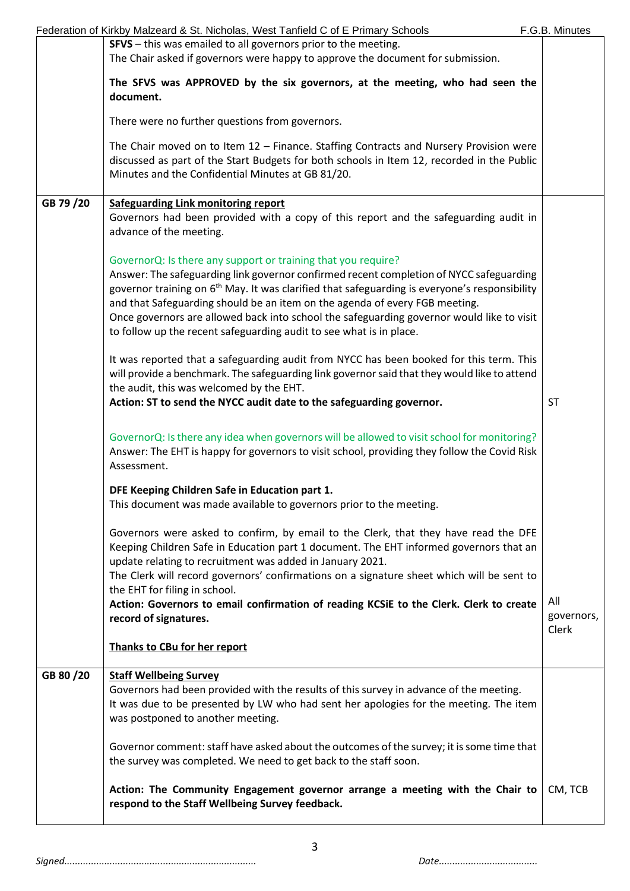|           | Federation of Kirkby Malzeard & St. Nicholas, West Tanfield C of E Primary Schools                                                                                                                                                              | F.G.B. Minutes      |
|-----------|-------------------------------------------------------------------------------------------------------------------------------------------------------------------------------------------------------------------------------------------------|---------------------|
|           | SFVS - this was emailed to all governors prior to the meeting.                                                                                                                                                                                  |                     |
|           | The Chair asked if governors were happy to approve the document for submission.                                                                                                                                                                 |                     |
|           | The SFVS was APPROVED by the six governors, at the meeting, who had seen the<br>document.                                                                                                                                                       |                     |
|           | There were no further questions from governors.                                                                                                                                                                                                 |                     |
|           | The Chair moved on to Item 12 - Finance. Staffing Contracts and Nursery Provision were<br>discussed as part of the Start Budgets for both schools in Item 12, recorded in the Public<br>Minutes and the Confidential Minutes at GB 81/20.       |                     |
| GB 79/20  | <b>Safeguarding Link monitoring report</b><br>Governors had been provided with a copy of this report and the safeguarding audit in                                                                                                              |                     |
|           | advance of the meeting.                                                                                                                                                                                                                         |                     |
|           | GovernorQ: Is there any support or training that you require?                                                                                                                                                                                   |                     |
|           | Answer: The safeguarding link governor confirmed recent completion of NYCC safeguarding<br>governor training on 6 <sup>th</sup> May. It was clarified that safeguarding is everyone's responsibility                                            |                     |
|           | and that Safeguarding should be an item on the agenda of every FGB meeting.<br>Once governors are allowed back into school the safeguarding governor would like to visit<br>to follow up the recent safeguarding audit to see what is in place. |                     |
|           | It was reported that a safeguarding audit from NYCC has been booked for this term. This<br>will provide a benchmark. The safeguarding link governor said that they would like to attend<br>the audit, this was welcomed by the EHT.             |                     |
|           | Action: ST to send the NYCC audit date to the safeguarding governor.                                                                                                                                                                            | <b>ST</b>           |
|           | GovernorQ: Is there any idea when governors will be allowed to visit school for monitoring?<br>Answer: The EHT is happy for governors to visit school, providing they follow the Covid Risk<br>Assessment.                                      |                     |
|           | DFE Keeping Children Safe in Education part 1.                                                                                                                                                                                                  |                     |
|           | This document was made available to governors prior to the meeting.                                                                                                                                                                             |                     |
|           | Governors were asked to confirm, by email to the Clerk, that they have read the DFE<br>Keeping Children Safe in Education part 1 document. The EHT informed governors that an<br>update relating to recruitment was added in January 2021.      |                     |
|           | The Clerk will record governors' confirmations on a signature sheet which will be sent to                                                                                                                                                       |                     |
|           | the EHT for filing in school.                                                                                                                                                                                                                   | All                 |
|           | Action: Governors to email confirmation of reading KCSiE to the Clerk. Clerk to create<br>record of signatures.                                                                                                                                 | governors,<br>Clerk |
|           | Thanks to CBu for her report                                                                                                                                                                                                                    |                     |
| GB 80 /20 | <b>Staff Wellbeing Survey</b>                                                                                                                                                                                                                   |                     |
|           | Governors had been provided with the results of this survey in advance of the meeting.<br>It was due to be presented by LW who had sent her apologies for the meeting. The item<br>was postponed to another meeting.                            |                     |
|           | Governor comment: staff have asked about the outcomes of the survey; it is some time that<br>the survey was completed. We need to get back to the staff soon.                                                                                   |                     |
|           | Action: The Community Engagement governor arrange a meeting with the Chair to<br>respond to the Staff Wellbeing Survey feedback.                                                                                                                | CM, TCB             |
|           |                                                                                                                                                                                                                                                 |                     |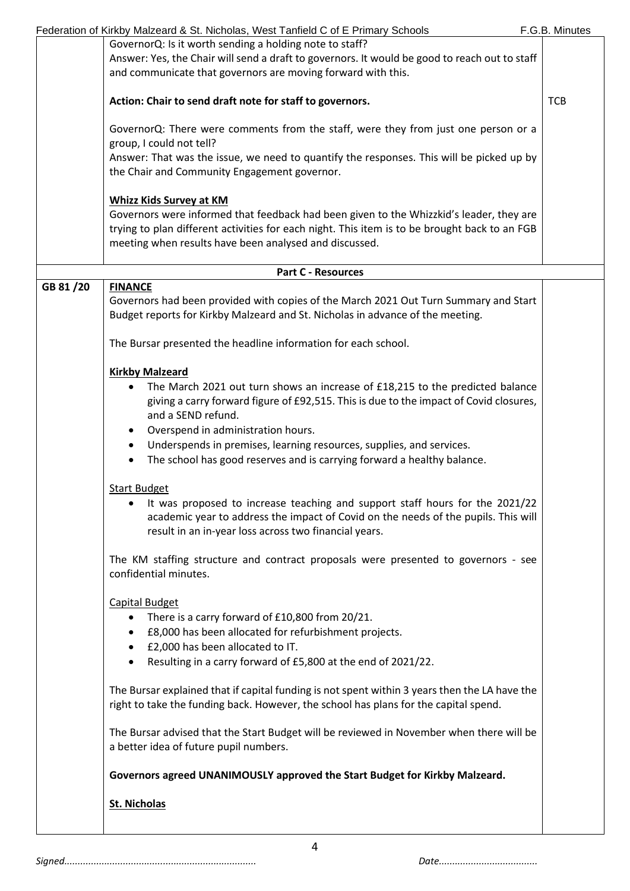|          | Federation of Kirkby Malzeard & St. Nicholas, West Tanfield C of E Primary Schools            | F.G.B. Minutes |
|----------|-----------------------------------------------------------------------------------------------|----------------|
|          | GovernorQ: Is it worth sending a holding note to staff?                                       |                |
|          | Answer: Yes, the Chair will send a draft to governors. It would be good to reach out to staff |                |
|          | and communicate that governors are moving forward with this.                                  |                |
|          |                                                                                               |                |
|          | Action: Chair to send draft note for staff to governors.                                      | <b>TCB</b>     |
|          |                                                                                               |                |
|          | GovernorQ: There were comments from the staff, were they from just one person or a            |                |
|          | group, I could not tell?                                                                      |                |
|          | Answer: That was the issue, we need to quantify the responses. This will be picked up by      |                |
|          | the Chair and Community Engagement governor.                                                  |                |
|          |                                                                                               |                |
|          | <b>Whizz Kids Survey at KM</b>                                                                |                |
|          | Governors were informed that feedback had been given to the Whizzkid's leader, they are       |                |
|          | trying to plan different activities for each night. This item is to be brought back to an FGB |                |
|          | meeting when results have been analysed and discussed.                                        |                |
|          |                                                                                               |                |
|          | <b>Part C - Resources</b>                                                                     |                |
| GB 81/20 | <b>FINANCE</b>                                                                                |                |
|          | Governors had been provided with copies of the March 2021 Out Turn Summary and Start          |                |
|          | Budget reports for Kirkby Malzeard and St. Nicholas in advance of the meeting.                |                |
|          |                                                                                               |                |
|          | The Bursar presented the headline information for each school.                                |                |
|          |                                                                                               |                |
|          | <b>Kirkby Malzeard</b>                                                                        |                |
|          |                                                                                               |                |
|          | The March 2021 out turn shows an increase of £18,215 to the predicted balance                 |                |
|          | giving a carry forward figure of £92,515. This is due to the impact of Covid closures,        |                |
|          | and a SEND refund.                                                                            |                |
|          | Overspend in administration hours.                                                            |                |
|          | Underspends in premises, learning resources, supplies, and services.                          |                |
|          | The school has good reserves and is carrying forward a healthy balance.                       |                |
|          |                                                                                               |                |
|          | <b>Start Budget</b>                                                                           |                |
|          | It was proposed to increase teaching and support staff hours for the 2021/22                  |                |
|          | academic year to address the impact of Covid on the needs of the pupils. This will            |                |
|          | result in an in-year loss across two financial years.                                         |                |
|          |                                                                                               |                |
|          | The KM staffing structure and contract proposals were presented to governors - see            |                |
|          | confidential minutes.                                                                         |                |
|          |                                                                                               |                |
|          | <b>Capital Budget</b>                                                                         |                |
|          | There is a carry forward of £10,800 from 20/21.<br>$\bullet$                                  |                |
|          | £8,000 has been allocated for refurbishment projects.                                         |                |
|          | £2,000 has been allocated to IT.                                                              |                |
|          | Resulting in a carry forward of £5,800 at the end of 2021/22.                                 |                |
|          |                                                                                               |                |
|          | The Bursar explained that if capital funding is not spent within 3 years then the LA have the |                |
|          | right to take the funding back. However, the school has plans for the capital spend.          |                |
|          |                                                                                               |                |
|          | The Bursar advised that the Start Budget will be reviewed in November when there will be      |                |
|          | a better idea of future pupil numbers.                                                        |                |
|          |                                                                                               |                |
|          | Governors agreed UNANIMOUSLY approved the Start Budget for Kirkby Malzeard.                   |                |
|          |                                                                                               |                |
|          | <b>St. Nicholas</b>                                                                           |                |
|          |                                                                                               |                |
|          |                                                                                               |                |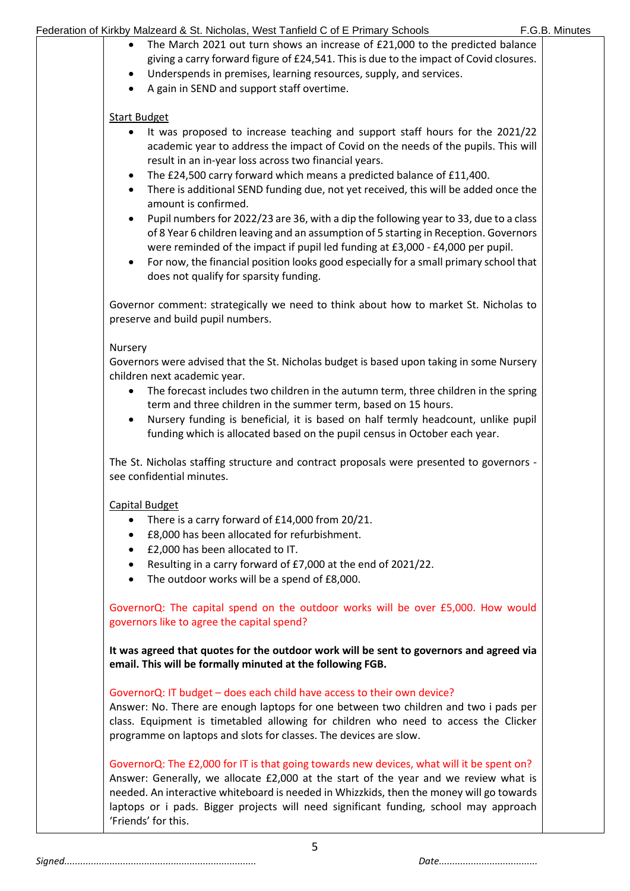| Federation of Kirkby Malzeard & St. Nicholas, West Tanfield C of E Primary Schools |  |
|------------------------------------------------------------------------------------|--|
|------------------------------------------------------------------------------------|--|

| ٠<br>٠                 | The March 2021 out turn shows an increase of £21,000 to the predicted balance<br>giving a carry forward figure of £24,541. This is due to the impact of Covid closures.<br>Underspends in premises, learning resources, supply, and services.<br>A gain in SEND and support staff overtime.                                                                                                        |  |
|------------------------|----------------------------------------------------------------------------------------------------------------------------------------------------------------------------------------------------------------------------------------------------------------------------------------------------------------------------------------------------------------------------------------------------|--|
| <b>Start Budget</b>    |                                                                                                                                                                                                                                                                                                                                                                                                    |  |
| $\bullet$              | It was proposed to increase teaching and support staff hours for the 2021/22<br>academic year to address the impact of Covid on the needs of the pupils. This will<br>result in an in-year loss across two financial years.                                                                                                                                                                        |  |
| $\bullet$<br>$\bullet$ | The £24,500 carry forward which means a predicted balance of £11,400.<br>There is additional SEND funding due, not yet received, this will be added once the<br>amount is confirmed.                                                                                                                                                                                                               |  |
|                        | Pupil numbers for 2022/23 are 36, with a dip the following year to 33, due to a class<br>of 8 Year 6 children leaving and an assumption of 5 starting in Reception. Governors<br>were reminded of the impact if pupil led funding at £3,000 - £4,000 per pupil.<br>For now, the financial position looks good especially for a small primary school that<br>does not qualify for sparsity funding. |  |
|                        | Governor comment: strategically we need to think about how to market St. Nicholas to<br>preserve and build pupil numbers.                                                                                                                                                                                                                                                                          |  |
| Nursery                | Governors were advised that the St. Nicholas budget is based upon taking in some Nursery                                                                                                                                                                                                                                                                                                           |  |
| $\bullet$              | children next academic year.<br>The forecast includes two children in the autumn term, three children in the spring<br>term and three children in the summer term, based on 15 hours.<br>Nursery funding is beneficial, it is based on half termly headcount, unlike pupil<br>funding which is allocated based on the pupil census in October each year.                                           |  |
|                        | The St. Nicholas staffing structure and contract proposals were presented to governors -<br>see confidential minutes.                                                                                                                                                                                                                                                                              |  |
| Capital Budget         |                                                                                                                                                                                                                                                                                                                                                                                                    |  |
| ٠<br>$\bullet$         | There is a carry forward of £14,000 from 20/21.<br>£8,000 has been allocated for refurbishment.                                                                                                                                                                                                                                                                                                    |  |
|                        | £2,000 has been allocated to IT.<br>Resulting in a carry forward of £7,000 at the end of 2021/22.<br>The outdoor works will be a spend of £8,000.                                                                                                                                                                                                                                                  |  |
|                        | GovernorQ: The capital spend on the outdoor works will be over £5,000. How would<br>governors like to agree the capital spend?                                                                                                                                                                                                                                                                     |  |
|                        | It was agreed that quotes for the outdoor work will be sent to governors and agreed via<br>email. This will be formally minuted at the following FGB.                                                                                                                                                                                                                                              |  |
|                        | GovernorQ: IT budget - does each child have access to their own device?<br>Answer: No. There are enough laptops for one between two children and two i pads per<br>class. Equipment is timetabled allowing for children who need to access the Clicker                                                                                                                                             |  |
|                        | programme on laptops and slots for classes. The devices are slow.                                                                                                                                                                                                                                                                                                                                  |  |
| 'Friends' for this.    | GovernorQ: The £2,000 for IT is that going towards new devices, what will it be spent on?<br>Answer: Generally, we allocate £2,000 at the start of the year and we review what is<br>needed. An interactive whiteboard is needed in Whizzkids, then the money will go towards<br>laptops or i pads. Bigger projects will need significant funding, school may approach                             |  |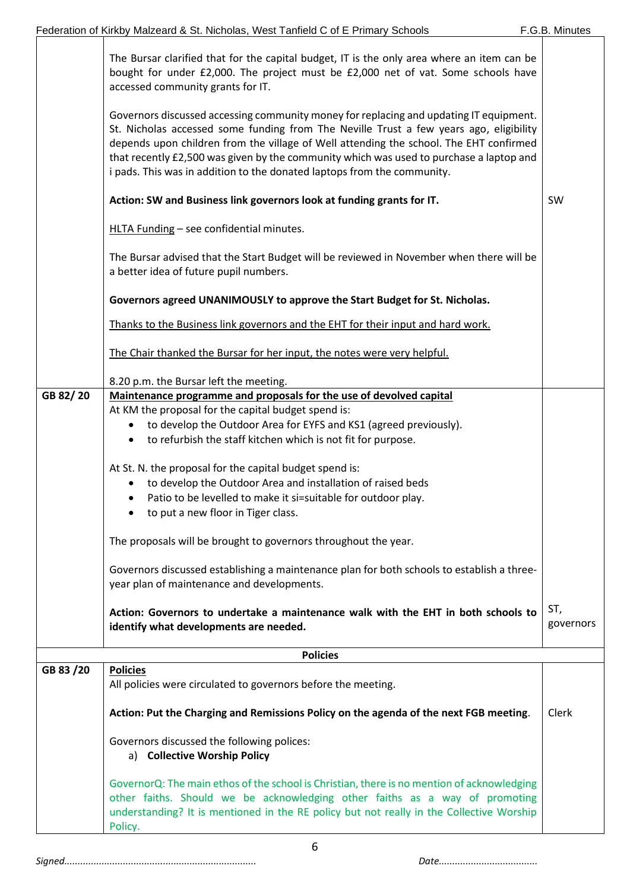|           | The Bursar clarified that for the capital budget, IT is the only area where an item can be<br>bought for under £2,000. The project must be £2,000 net of vat. Some schools have                                                                                                                                                                                                                                                                                                                                    |                  |
|-----------|--------------------------------------------------------------------------------------------------------------------------------------------------------------------------------------------------------------------------------------------------------------------------------------------------------------------------------------------------------------------------------------------------------------------------------------------------------------------------------------------------------------------|------------------|
|           | accessed community grants for IT.                                                                                                                                                                                                                                                                                                                                                                                                                                                                                  |                  |
|           | Governors discussed accessing community money for replacing and updating IT equipment.<br>St. Nicholas accessed some funding from The Neville Trust a few years ago, eligibility<br>depends upon children from the village of Well attending the school. The EHT confirmed<br>that recently £2,500 was given by the community which was used to purchase a laptop and<br>i pads. This was in addition to the donated laptops from the community.                                                                   |                  |
|           | Action: SW and Business link governors look at funding grants for IT.                                                                                                                                                                                                                                                                                                                                                                                                                                              | SW               |
|           | HLTA Funding - see confidential minutes.                                                                                                                                                                                                                                                                                                                                                                                                                                                                           |                  |
|           | The Bursar advised that the Start Budget will be reviewed in November when there will be<br>a better idea of future pupil numbers.                                                                                                                                                                                                                                                                                                                                                                                 |                  |
|           | Governors agreed UNANIMOUSLY to approve the Start Budget for St. Nicholas.                                                                                                                                                                                                                                                                                                                                                                                                                                         |                  |
|           | Thanks to the Business link governors and the EHT for their input and hard work.                                                                                                                                                                                                                                                                                                                                                                                                                                   |                  |
|           | The Chair thanked the Bursar for her input, the notes were very helpful.                                                                                                                                                                                                                                                                                                                                                                                                                                           |                  |
|           | 8.20 p.m. the Bursar left the meeting.                                                                                                                                                                                                                                                                                                                                                                                                                                                                             |                  |
| GB 82/20  | Maintenance programme and proposals for the use of devolved capital<br>At KM the proposal for the capital budget spend is:<br>to develop the Outdoor Area for EYFS and KS1 (agreed previously).<br>to refurbish the staff kitchen which is not fit for purpose.<br>At St. N. the proposal for the capital budget spend is:<br>to develop the Outdoor Area and installation of raised beds<br>٠<br>Patio to be levelled to make it si=suitable for outdoor play.<br>to put a new floor in Tiger class.<br>$\bullet$ |                  |
|           |                                                                                                                                                                                                                                                                                                                                                                                                                                                                                                                    |                  |
|           | The proposals will be brought to governors throughout the year.                                                                                                                                                                                                                                                                                                                                                                                                                                                    |                  |
|           | Governors discussed establishing a maintenance plan for both schools to establish a three-<br>year plan of maintenance and developments.                                                                                                                                                                                                                                                                                                                                                                           |                  |
|           | Action: Governors to undertake a maintenance walk with the EHT in both schools to<br>identify what developments are needed.                                                                                                                                                                                                                                                                                                                                                                                        | ST,<br>governors |
|           | <b>Policies</b>                                                                                                                                                                                                                                                                                                                                                                                                                                                                                                    |                  |
| GB 83 /20 | <b>Policies</b><br>All policies were circulated to governors before the meeting.                                                                                                                                                                                                                                                                                                                                                                                                                                   |                  |
|           |                                                                                                                                                                                                                                                                                                                                                                                                                                                                                                                    |                  |
|           | Action: Put the Charging and Remissions Policy on the agenda of the next FGB meeting.                                                                                                                                                                                                                                                                                                                                                                                                                              | Clerk            |
|           | Governors discussed the following polices:<br>a) Collective Worship Policy                                                                                                                                                                                                                                                                                                                                                                                                                                         |                  |
|           | GovernorQ: The main ethos of the school is Christian, there is no mention of acknowledging<br>other faiths. Should we be acknowledging other faiths as a way of promoting<br>understanding? It is mentioned in the RE policy but not really in the Collective Worship<br>Policy.                                                                                                                                                                                                                                   |                  |

6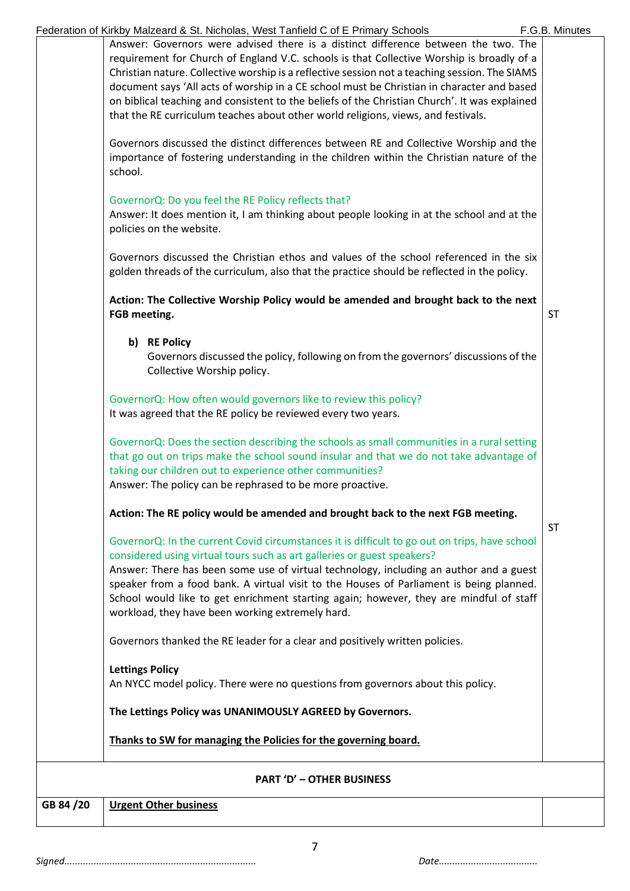| GB 84 /20 | <b>Urgent Other business</b>                                                                                                                                                                                                                                                                                                                                                       |                |
|-----------|------------------------------------------------------------------------------------------------------------------------------------------------------------------------------------------------------------------------------------------------------------------------------------------------------------------------------------------------------------------------------------|----------------|
|           | <b>PART 'D' - OTHER BUSINESS</b>                                                                                                                                                                                                                                                                                                                                                   |                |
|           | Thanks to SW for managing the Policies for the governing board.                                                                                                                                                                                                                                                                                                                    |                |
|           | The Lettings Policy was UNANIMOUSLY AGREED by Governors.                                                                                                                                                                                                                                                                                                                           |                |
|           | <b>Lettings Policy</b><br>An NYCC model policy. There were no questions from governors about this policy.                                                                                                                                                                                                                                                                          |                |
|           | Governors thanked the RE leader for a clear and positively written policies.                                                                                                                                                                                                                                                                                                       |                |
|           | Answer: There has been some use of virtual technology, including an author and a guest<br>speaker from a food bank. A virtual visit to the Houses of Parliament is being planned.<br>School would like to get enrichment starting again; however, they are mindful of staff<br>workload, they have been working extremely hard.                                                    |                |
|           | GovernorQ: In the current Covid circumstances it is difficult to go out on trips, have school<br>considered using virtual tours such as art galleries or guest speakers?                                                                                                                                                                                                           |                |
|           | Action: The RE policy would be amended and brought back to the next FGB meeting.                                                                                                                                                                                                                                                                                                   | <b>ST</b>      |
|           | GovernorQ: Does the section describing the schools as small communities in a rural setting<br>that go out on trips make the school sound insular and that we do not take advantage of<br>taking our children out to experience other communities?<br>Answer: The policy can be rephrased to be more proactive.                                                                     |                |
|           | GovernorQ: How often would governors like to review this policy?<br>It was agreed that the RE policy be reviewed every two years.                                                                                                                                                                                                                                                  |                |
|           | b) RE Policy<br>Governors discussed the policy, following on from the governors' discussions of the<br>Collective Worship policy.                                                                                                                                                                                                                                                  |                |
|           | Action: The Collective Worship Policy would be amended and brought back to the next<br>FGB meeting.                                                                                                                                                                                                                                                                                | <b>ST</b>      |
|           | Governors discussed the Christian ethos and values of the school referenced in the six<br>golden threads of the curriculum, also that the practice should be reflected in the policy.                                                                                                                                                                                              |                |
|           | GovernorQ: Do you feel the RE Policy reflects that?<br>Answer: It does mention it, I am thinking about people looking in at the school and at the<br>policies on the website.                                                                                                                                                                                                      |                |
|           | Governors discussed the distinct differences between RE and Collective Worship and the<br>importance of fostering understanding in the children within the Christian nature of the<br>school.                                                                                                                                                                                      |                |
|           | Christian nature. Collective worship is a reflective session not a teaching session. The SIAMS<br>document says 'All acts of worship in a CE school must be Christian in character and based<br>on biblical teaching and consistent to the beliefs of the Christian Church'. It was explained<br>that the RE curriculum teaches about other world religions, views, and festivals. |                |
|           | Federation of Kirkby Malzeard & St. Nicholas, West Tanfield C of E Primary Schools<br>Answer: Governors were advised there is a distinct difference between the two. The<br>requirement for Church of England V.C. schools is that Collective Worship is broadly of a                                                                                                              | F.G.B. Minutes |